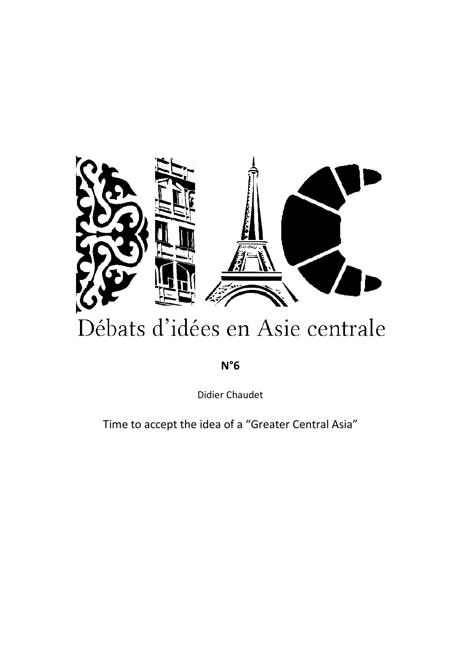

# Débats d'idées en Asie centrale

**N°6**

Didier Chaudet

Time to accept the idea of a "Greater Central Asia"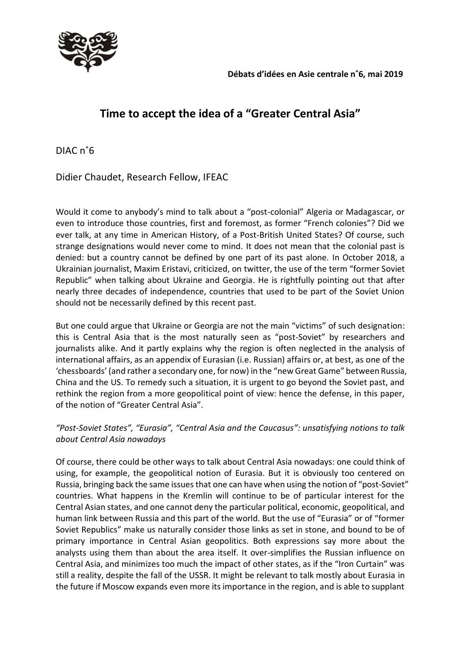

## **Time to accept the idea of a "Greater Central Asia"**

DIAC n˚6

Didier Chaudet, Research Fellow, IFEAC

Would it come to anybody's mind to talk about a "post-colonial" Algeria or Madagascar, or even to introduce those countries, first and foremost, as former "French colonies"? Did we ever talk, at any time in American History, of a Post-British United States? Of course, such strange designations would never come to mind. It does not mean that the colonial past is denied: but a country cannot be defined by one part of its past alone. In October 2018, a Ukrainian journalist, Maxim Eristavi, criticized, on twitter, the use of the term "former Soviet Republic" when talking about Ukraine and Georgia. He is rightfully pointing out that after nearly three decades of independence, countries that used to be part of the Soviet Union should not be necessarily defined by this recent past.

But one could argue that Ukraine or Georgia are not the main "victims" of such designation: this is Central Asia that is the most naturally seen as "post-Soviet" by researchers and journalists alike. And it partly explains why the region is often neglected in the analysis of international affairs, as an appendix of Eurasian (i.e. Russian) affairs or, at best, as one of the 'chessboards' (and rather a secondary one, for now) in the "new Great Game" between Russia, China and the US. To remedy such a situation, it is urgent to go beyond the Soviet past, and rethink the region from a more geopolitical point of view: hence the defense, in this paper, of the notion of "Greater Central Asia".

### *"Post-Soviet States", "Eurasia", "Central Asia and the Caucasus": unsatisfying notions to talk about Central Asia nowadays*

Of course, there could be other ways to talk about Central Asia nowadays: one could think of using, for example, the geopolitical notion of Eurasia. But it is obviously too centered on Russia, bringing back the same issues that one can have when using the notion of "post-Soviet" countries. What happens in the Kremlin will continue to be of particular interest for the Central Asian states, and one cannot deny the particular political, economic, geopolitical, and human link between Russia and this part of the world. But the use of "Eurasia" or of "former Soviet Republics" make us naturally consider those links as set in stone, and bound to be of primary importance in Central Asian geopolitics. Both expressions say more about the analysts using them than about the area itself. It over-simplifies the Russian influence on Central Asia, and minimizes too much the impact of other states, as if the "Iron Curtain" was still a reality, despite the fall of the USSR. It might be relevant to talk mostly about Eurasia in the future if Moscow expands even more its importance in the region, and is able to supplant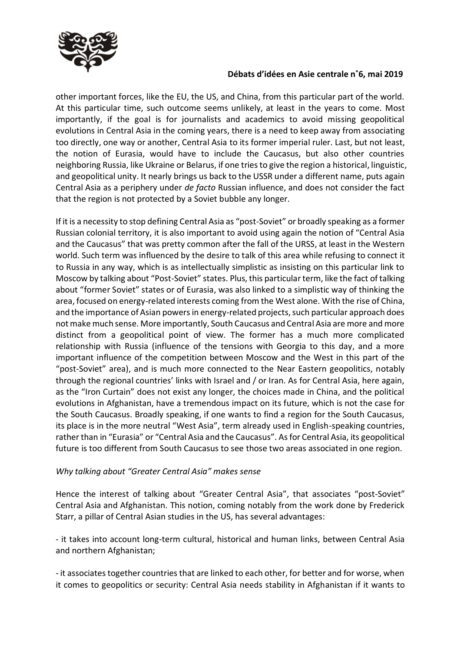

#### **Débats d'idées en Asie centrale n˚6, mai 2019**

other important forces, like the EU, the US, and China, from this particular part of the world. At this particular time, such outcome seems unlikely, at least in the years to come. Most importantly, if the goal is for journalists and academics to avoid missing geopolitical evolutions in Central Asia in the coming years, there is a need to keep away from associating too directly, one way or another, Central Asia to its former imperial ruler. Last, but not least, the notion of Eurasia, would have to include the Caucasus, but also other countries neighboring Russia, like Ukraine or Belarus, if one tries to give the region a historical, linguistic, and geopolitical unity. It nearly brings us back to the USSR under a different name, puts again Central Asia as a periphery under *de facto* Russian influence, and does not consider the fact that the region is not protected by a Soviet bubble any longer.

If it is a necessity to stop defining Central Asia as "post-Soviet" or broadly speaking as a former Russian colonial territory, it is also important to avoid using again the notion of "Central Asia and the Caucasus" that was pretty common after the fall of the URSS, at least in the Western world. Such term was influenced by the desire to talk of this area while refusing to connect it to Russia in any way, which is as intellectually simplistic as insisting on this particular link to Moscow by talking about "Post-Soviet" states. Plus, this particular term, like the fact of talking about "former Soviet" states or of Eurasia, was also linked to a simplistic way of thinking the area, focused on energy-related interests coming from the West alone. With the rise of China, and the importance of Asian powers in energy-related projects, such particular approach does not make much sense. More importantly, South Caucasus and Central Asia are more and more distinct from a geopolitical point of view. The former has a much more complicated relationship with Russia (influence of the tensions with Georgia to this day, and a more important influence of the competition between Moscow and the West in this part of the "post-Soviet" area), and is much more connected to the Near Eastern geopolitics, notably through the regional countries' links with Israel and / or Iran. As for Central Asia, here again, as the "Iron Curtain" does not exist any longer, the choices made in China, and the political evolutions in Afghanistan, have a tremendous impact on its future, which is not the case for the South Caucasus. Broadly speaking, if one wants to find a region for the South Caucasus, its place is in the more neutral "West Asia", term already used in English-speaking countries, rather than in "Eurasia" or "Central Asia and the Caucasus". As for Central Asia, its geopolitical future is too different from South Caucasus to see those two areas associated in one region.

#### *Why talking about "Greater Central Asia" makes sense*

Hence the interest of talking about "Greater Central Asia", that associates "post-Soviet" Central Asia and Afghanistan. This notion, coming notably from the work done by Frederick Starr, a pillar of Central Asian studies in the US, has several advantages:

- it takes into account long-term cultural, historical and human links, between Central Asia and northern Afghanistan;

- it associates together countries that are linked to each other, for better and for worse, when it comes to geopolitics or security: Central Asia needs stability in Afghanistan if it wants to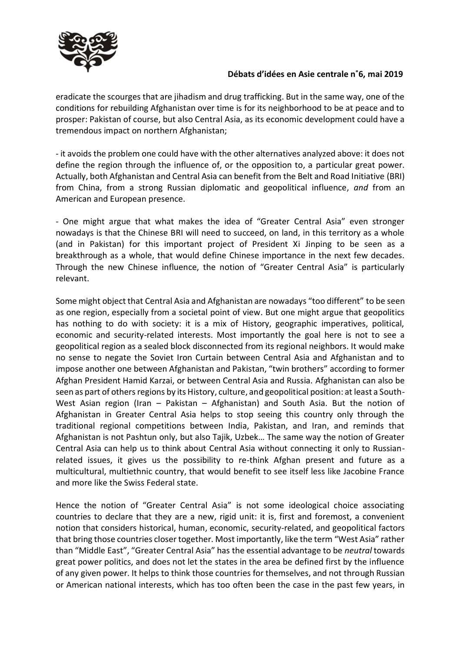

#### **Débats d'idées en Asie centrale n˚6, mai 2019**

eradicate the scourges that are jihadism and drug trafficking. But in the same way, one of the conditions for rebuilding Afghanistan over time is for its neighborhood to be at peace and to prosper: Pakistan of course, but also Central Asia, as its economic development could have a tremendous impact on northern Afghanistan;

- it avoids the problem one could have with the other alternatives analyzed above: it does not define the region through the influence of, or the opposition to, a particular great power. Actually, both Afghanistan and Central Asia can benefit from the Belt and Road Initiative (BRI) from China, from a strong Russian diplomatic and geopolitical influence, *and* from an American and European presence.

- One might argue that what makes the idea of "Greater Central Asia" even stronger nowadays is that the Chinese BRI will need to succeed, on land, in this territory as a whole (and in Pakistan) for this important project of President Xi Jinping to be seen as a breakthrough as a whole, that would define Chinese importance in the next few decades. Through the new Chinese influence, the notion of "Greater Central Asia" is particularly relevant.

Some might object that Central Asia and Afghanistan are nowadays "too different" to be seen as one region, especially from a societal point of view. But one might argue that geopolitics has nothing to do with society: it is a mix of History, geographic imperatives, political, economic and security-related interests. Most importantly the goal here is not to see a geopolitical region as a sealed block disconnected from its regional neighbors. It would make no sense to negate the Soviet Iron Curtain between Central Asia and Afghanistan and to impose another one between Afghanistan and Pakistan, "twin brothers" according to former Afghan President Hamid Karzai, or between Central Asia and Russia. Afghanistan can also be seen as part of others regions by its History, culture, and geopolitical position: at least a South-West Asian region (Iran – Pakistan – Afghanistan) and South Asia. But the notion of Afghanistan in Greater Central Asia helps to stop seeing this country only through the traditional regional competitions between India, Pakistan, and Iran, and reminds that Afghanistan is not Pashtun only, but also Tajik, Uzbek… The same way the notion of Greater Central Asia can help us to think about Central Asia without connecting it only to Russianrelated issues, it gives us the possibility to re-think Afghan present and future as a multicultural, multiethnic country, that would benefit to see itself less like Jacobine France and more like the Swiss Federal state.

Hence the notion of "Greater Central Asia" is not some ideological choice associating countries to declare that they are a new, rigid unit: it is, first and foremost, a convenient notion that considers historical, human, economic, security-related, and geopolitical factors that bring those countries closer together. Most importantly, like the term "West Asia" rather than "Middle East", "Greater Central Asia" has the essential advantage to be *neutral* towards great power politics, and does not let the states in the area be defined first by the influence of any given power. It helps to think those countries for themselves, and not through Russian or American national interests, which has too often been the case in the past few years, in